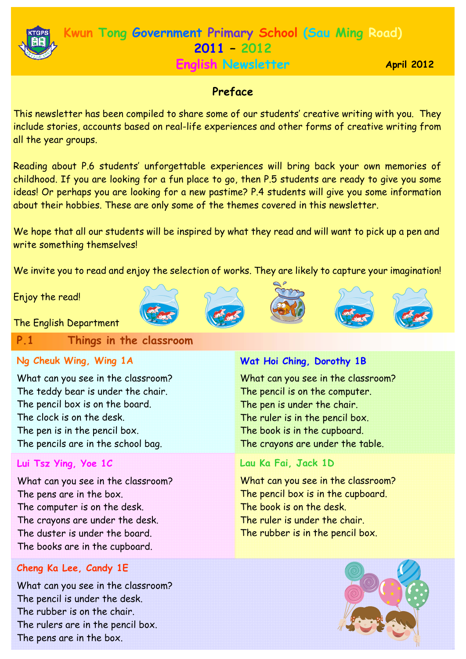

# **Kwun Tong Government Primary School (Sau Ming Road) 2011 – 2012 English Newsletter**

**April 2012** 

# **Preface**

This newsletter has been compiled to share some of our students' creative writing with you. They include stories, accounts based on real-life experiences and other forms of creative writing from all the year groups.

Reading about P.6 students' unforgettable experiences will bring back your own memories of childhood. If you are looking for a fun place to go, then P.5 students are ready to give you some ideas! Or perhaps you are looking for a new pastime? P.4 students will give you some information about their hobbies. These are only some of the themes covered in this newsletter.

We hope that all our students will be inspired by what they read and will want to pick up a pen and write something themselves!

We invite you to read and enjoy the selection of works. They are likely to capture your imagination!

Enjoy the read!











The English Department

**P.1 Things in the classroom**

# **Ng Cheuk Wing, Wing 1A**

What can you see in the classroom? The teddy bear is under the chair. The pencil box is on the board. The clock is on the desk. The pen is in the pencil box. The pencils are in the school bag.

# **Lui Tsz Ying, Yoe 1C**

What can you see in the classroom? The pens are in the box. The computer is on the desk. The crayons are under the desk. The duster is under the board. The books are in the cupboard.

# **Cheng Ka Lee, Candy 1E**

What can you see in the classroom? The pencil is under the desk. The rubber is on the chair. The rulers are in the pencil box. The pens are in the box.

# **Wat Hoi Ching, Dorothy 1B**

What can you see in the classroom? The pencil is on the computer. The pen is under the chair. The ruler is in the pencil box. The book is in the cupboard. The crayons are under the table.

# **Lau Ka Fai, Jack 1D**

What can you see in the classroom? The pencil box is in the cupboard. The book is on the desk. The ruler is under the chair. The rubber is in the pencil box.

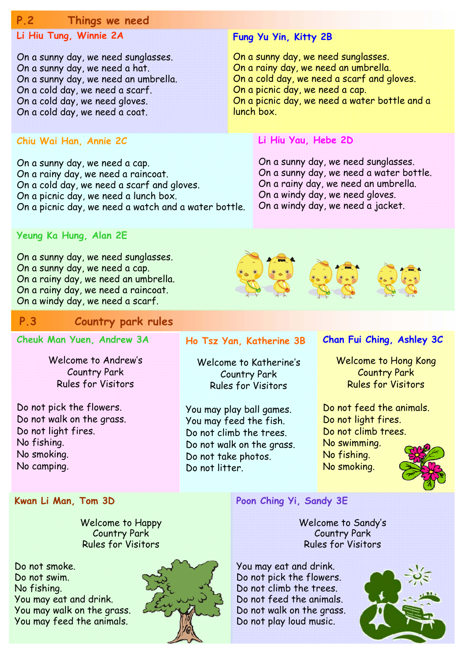### **P.2 Things we need**

# **Li Hiu Tung, Winnie 2A**

On a sunny day, we need sunglasses. On a sunny day, we need a hat. On a sunny day, we need an umbrella. On a cold day, we need a scarf. On a cold day, we need gloves. On a cold day, we need a coat.

### **Chiu Wai Han, Annie 2C**

On a sunny day, we need a cap. On a rainy day, we need a raincoat. On a cold day, we need a scarf and gloves. On a picnic day, we need a lunch box. On a picnic day, we need a watch and a water bottle.

### **Fung Yu Yin, Kitty 2B**

On a sunny day, we need sunglasses. On a rainy day, we need an umbrella. On a cold day, we need a scarf and gloves. On a picnic day, we need a cap. On a picnic day, we need a water bottle and a lunch box.

### **Li Hiu Yau, Hebe 2D**

On a sunny day, we need sunglasses. On a sunny day, we need a water bottle. On a rainy day, we need an umbrella. On a windy day, we need gloves. On a windy day, we need a jacket.

### **Yeung Ka Hung, Alan 2E**

On a sunny day, we need sunglasses. On a sunny day, we need a cap. On a rainy day, we need an umbrella. On a rainy day, we need a raincoat. On a windy day, we need a scarf.

#### **P.3 Country park rules**

### **Cheuk Man Yuen, Andrew 3A**

Welcome to Andrew's Country Park Rules for Visitors

Do not pick the flowers. Do not walk on the grass. Do not light fires. No fishing. No smoking. No camping.

### **Ho Tsz Yan, Katherine 3B**

Welcome to Katherine's Country Park Rules for Visitors

You may play ball games. You may feed the fish. Do not climb the trees. Do not walk on the grass. Do not take photos. Do not litter.

### **Chan Fui Ching, Ashley 3C**

Welcome to Hong Kong Country Park Rules for Visitors

Do not feed the animals. Do not light fires. Do not climb trees. No swimming. No fishing. No smoking.

#### **Kwan Li Man, Tom 3D**

Welcome to Happy Country Park Rules for Visitors

Do not smoke. Do not swim. No fishing. You may eat and drink. You may walk on the grass. You may feed the animals.



**Poon Ching Yi, Sandy 3E** 

Welcome to Sandy's Country Park Rules for Visitors

You may eat and drink. Do not pick the flowers. Do not climb the trees. Do not feed the animals. Do not walk on the grass. Do not play loud music.

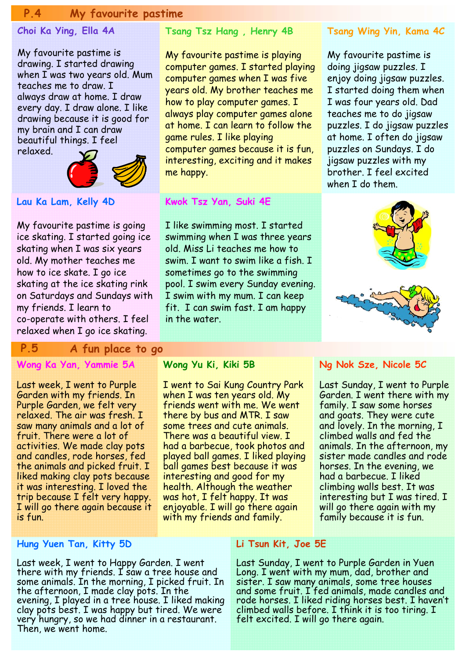### **P.4 My favourite pastime**

### **Choi Ka Ying, Ella 4A**

My favourite pastime is drawing. I started drawing when I was two years old. Mum teaches me to draw. I always draw at home. I draw every day. I draw alone. I like drawing because it is good for my brain and I can draw beautiful things. I feel relaxed.



**Lau Ka Lam, Kelly 4D** 

My favourite pastime is going ice skating. I started going ice skating when I was six years old. My mother teaches me how to ice skate. I go ice skating at the ice skating rink on Saturdays and Sundays with my friends. I learn to co-operate with others. I feel relaxed when I go ice skating.

# **P.5 A fun place to go**

### **Wong Ka Yan, Yammie 5A**

Last week, I went to Purple Garden with my friends. In Purple Garden, we felt very relaxed. The air was fresh. I saw many animals and a lot of fruit. There were a lot of activities. We made clay pots and candles, rode horses, fed the animals and picked fruit. I liked making clay pots because it was interesting. I loved the trip because I felt very happy. I will go there again because it is fun.

#### **Hung Yuen Tan, Kitty 5D**

Last week, I went to Happy Garden. I went there with my friends. I saw a tree house and some animals. In the morning, I picked fruit. In the afternoon, I made clay pots. In the evening, I played in a tree house. I liked making clay pots best. I was happy but tired. We were very hungry, so we had dinner in a restaurant. Then, we went home.

### **Tsang Tsz Hang , Henry 4B**

My favourite pastime is playing computer games. I started playing computer games when I was five years old. My brother teaches me how to play computer games. I always play computer games alone at home. I can learn to follow the game rules. I like playing computer games because it is fun, interesting, exciting and it makes me happy.

#### **Kwok Tsz Yan, Suki 4E**

I like swimming most. I started swimming when I was three years old. Miss Li teaches me how to swim. I want to swim like a fish. I sometimes go to the swimming pool. I swim every Sunday evening. I swim with my mum. I can keep fit. I can swim fast. I am happy in the water.

#### **Wong Yu Ki, Kiki 5B**

I went to Sai Kung Country Park when I was ten years old. My friends went with me. We went there by bus and MTR. I saw some trees and cute animals. There was a beautiful view. I had a barbecue, took photos and played ball games. I liked playing ball games best because it was interesting and good for my health. Although the weather was hot, I felt happy. It was enjoyable. I will go there again with my friends and family.

#### **Tsang Wing Yin, Kama 4C**

My favourite pastime is doing jigsaw puzzles. I enjoy doing jigsaw puzzles. I started doing them when I was four years old. Dad teaches me to do jigsaw puzzles. I do jigsaw puzzles at home. I often do jigsaw puzzles on Sundays. I do jigsaw puzzles with my brother. I feel excited when I do them.



#### **Ng Nok Sze, Nicole 5C**

Last Sunday, I went to Purple Garden. I went there with my family. I saw some horses and goats. They were cute and lovely. In the morning, I climbed walls and fed the animals. In the afternoon, my sister made candles and rode horses. In the evening, we had a barbecue. I liked climbing walls best. It was interesting but I was tired. I will go there again with my family because it is fun.

#### **Li Tsun Kit, Joe 5E**

Last Sunday, I went to Purple Garden in Yuen Long. I went with my mum, dad, brother and sister. I saw many animals, some tree houses and some fruit. I fed animals, made candles and rode horses. I liked riding horses best. I haven't climbed walls before. I think it is too tiring. I felt excited. I will go there again.